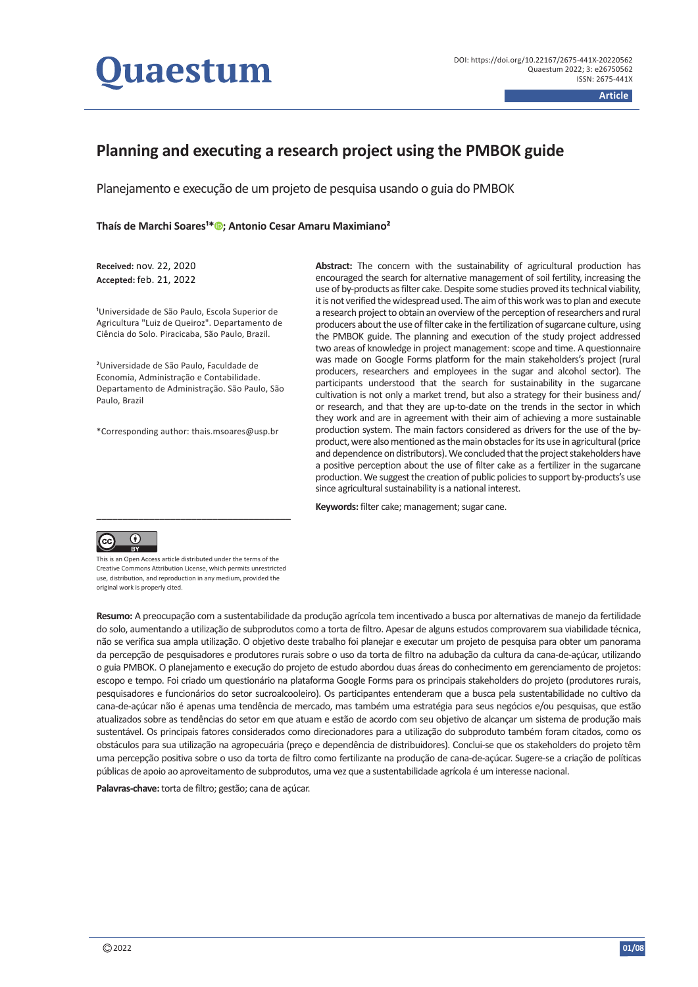

# **Planning and executing a research project using the PMBOK guide**

Planejamento e execução de um projeto de pesquisa usando o guia do PMBOK

# **Thaís de Marchi Soares<sup>1[\\*](https://orcid.org/0000-0002-3271-365X)</sup><sup>®</sup>[;](https://orcid.org/0000-0002-3271-365X) Antonio Cesar Amaru Maximiano<sup>2</sup>**

**Received:** nov. 22, 2020 **Accepted:** feb. 21, 2022

<sup>1</sup>Universidade de São Paulo, Escola Superior de Agricultura "Luiz de Queiroz". Departamento de Ciência do Solo. Piracicaba, São Paulo, Brazil.

²Universidade de São Paulo, Faculdade de Economia, Administração e Contabilidade. Departamento de Administração. São Paulo, São Paulo, Brazil

\*Corresponding author: [thais.msoares@usp.br](mailto:thais.msoares@usp.br)

Abstract: The concern with the sustainability of agricultural production has encouraged the search for alternative management of soil fertility, increasing the use of by-products as filter cake. Despite some studies proved its technical viability, it is not verified the widespread used. The aim of this work was to plan and execute a research project to obtain an overview of the perception of researchers and rural producers about the use of filter cake in the fertilization of sugarcane culture, using the PMBOK guide. The planning and execution of the study project addressed two areas of knowledge in project management: scope and time. A questionnaire was made on Google Forms platform for the main stakeholders's project (rural producers, researchers and employees in the sugar and alcohol sector). The participants understood that the search for sustainability in the sugarcane cultivation is not only a market trend, but also a strategy for their business and/ or research, and that they are up-to-date on the trends in the sector in which they work and are in agreement with their aim of achieving a more sustainable production system. The main factors considered as drivers for the use of the byproduct, were also mentioned as the main obstacles for its use in agricultural (price and dependence on distributors). We concluded that the project stakeholders have a positive perception about the use of filter cake as a fertilizer in the sugarcane production. We suggest the creation of public policies to support by-products's use since agricultural sustainability is a national interest.

Keywords: filter cake; management; sugar cane.



This is an Open Access article distributed under the terms of the Creative Commons Attribution License, which permits unrestricted use, distribution, and reproduction in any medium, provided the original work is properly cited.

**Resumo:** A preocupação com a sustentabilidade da produção agrícola tem incentivado a busca por alternativas de manejo da fertilidade do solo, aumentando a utilização de subprodutos como a torta de filtro. Apesar de alguns estudos comprovarem sua viabilidade técnica, não se verifica sua ampla utilização. O objetivo deste trabalho foi planejar e executar um projeto de pesquisa para obter um panorama da percepção de pesquisadores e produtores rurais sobre o uso da torta de filtro na adubação da cultura da cana-de-açúcar, utilizando o guia PMBOK. O planejamento e execução do projeto de estudo abordou duas áreas do conhecimento em gerenciamento de projetos: escopo e tempo. Foi criado um questionário na plataforma Google Forms para os principais stakeholders do projeto (produtores rurais, pesquisadores e funcionários do setor sucroalcooleiro). Os participantes entenderam que a busca pela sustentabilidade no cultivo da cana-de-açúcar não é apenas uma tendência de mercado, mas também uma estratégia para seus negócios e/ou pesquisas, que estão atualizados sobre as tendências do setor em que atuam e estão de acordo com seu objetivo de alcançar um sistema de produção mais sustentável. Os principais fatores considerados como direcionadores para a utilização do subproduto também foram citados, como os obstáculos para sua utilização na agropecuária (preço e dependência de distribuidores). Conclui-se que os stakeholders do projeto têm uma percepção positiva sobre o uso da torta de filtro como fertilizante na produção de cana-de-açúcar. Sugere-se a criação de políticas públicas de apoio ao aproveitamento de subprodutos, uma vez que a sustentabilidade agrícola é um interesse nacional.

**Palavras-chave:** torta de filtro; gestão; cana de açúcar.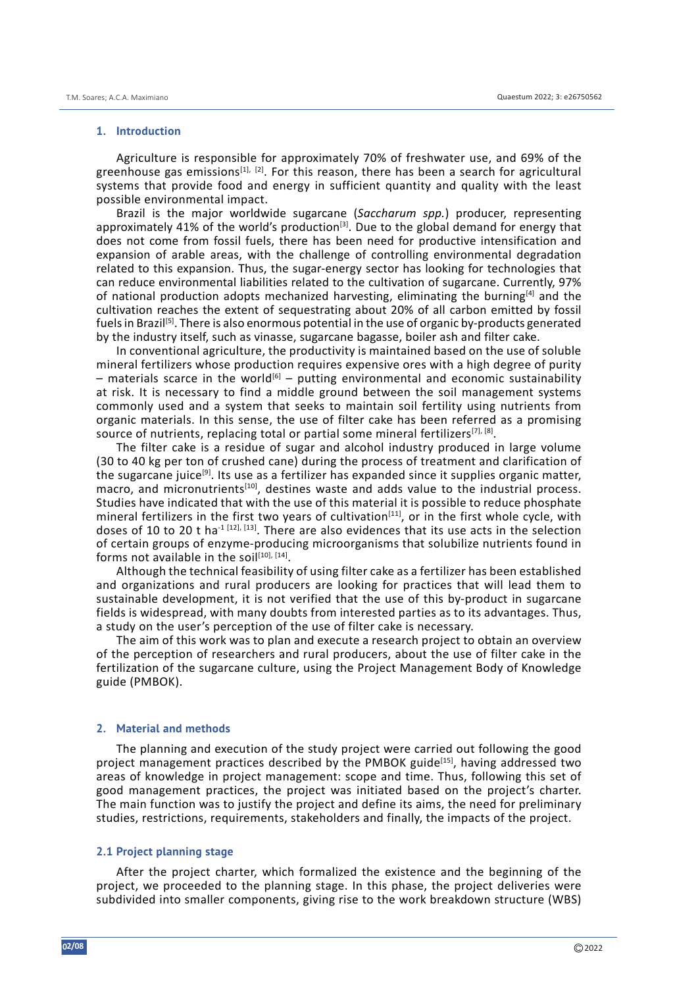#### **1. Introduction**

Agriculture is responsible for approximately 70% of freshwater use, and 69% of the greenhouse gas emissions<sup>[1], [2]</sup>. For this reason, there has been a search for agricultural systems that provide food and energy in sufficient quantity and quality with the least possible environmental impact.

Brazil is the major worldwide sugarcane (*Saccharum spp.*) producer, representing approximately 41% of the world's production<sup>[3]</sup>. Due to the global demand for energy that does not come from fossil fuels, there has been need for productive intensification and expansion of arable areas, with the challenge of controlling environmental degradation related to this expansion. Thus, the sugar-energy sector has looking for technologies that can reduce environmental liabilities related to the cultivation of sugarcane. Currently, 97% of national production adopts mechanized harvesting, eliminating the burning[4] and the cultivation reaches the extent of sequestrating about 20% of all carbon emitted by fossil fuels in Brazil[5]. There is also enormous potential in the use of organic by-products generated by the industry itself, such as vinasse, sugarcane bagasse, boiler ash and filter cake.

In conventional agriculture, the productivity is maintained based on the use of soluble mineral fertilizers whose production requires expensive ores with a high degree of purity – materials scarce in the world<sup>[6]</sup> – putting environmental and economic sustainability at risk. It is necessary to find a middle ground between the soil management systems commonly used and a system that seeks to maintain soil fertility using nutrients from organic materials. In this sense, the use of filter cake has been referred as a promising source of nutrients, replacing total or partial some mineral fertilizers<sup>[7], [8]</sup>.

The filter cake is a residue of sugar and alcohol industry produced in large volume (30 to 40 kg per ton of crushed cane) during the process of treatment and clarification of the sugarcane juice<sup>[9]</sup>. Its use as a fertilizer has expanded since it supplies organic matter, macro, and micronutrients<sup>[10]</sup>, destines waste and adds value to the industrial process. Studies have indicated that with the use of this material it is possible to reduce phosphate mineral fertilizers in the first two years of cultivation<sup>[11]</sup>, or in the first whole cycle, with doses of 10 to 20 t ha<sup>-1 [12], [13]</sup>. There are also evidences that its use acts in the selection of certain groups of enzyme-producing microorganisms that solubilize nutrients found in forms not available in the soil $[10]$ ,  $[14]$ .

Although the technical feasibility of using filter cake as a fertilizer has been established and organizations and rural producers are looking for practices that will lead them to sustainable development, it is not verified that the use of this by-product in sugarcane fields is widespread, with many doubts from interested parties as to its advantages. Thus, a study on the user's perception of the use of filter cake is necessary.

The aim of this work was to plan and execute a research project to obtain an overview of the perception of researchers and rural producers, about the use of filter cake in the fertilization of the sugarcane culture, using the Project Management Body of Knowledge guide (PMBOK).

## **2. Material and methods**

The planning and execution of the study project were carried out following the good project management practices described by the PMBOK guide<sup>[15]</sup>, having addressed two areas of knowledge in project management: scope and time. Thus, following this set of good management practices, the project was initiated based on the project's charter. The main function was to justify the project and define its aims, the need for preliminary studies, restrictions, requirements, stakeholders and finally, the impacts of the project.

# **2.1 Project planning stage**

After the project charter, which formalized the existence and the beginning of the project, we proceeded to the planning stage. In this phase, the project deliveries were subdivided into smaller components, giving rise to the work breakdown structure (WBS)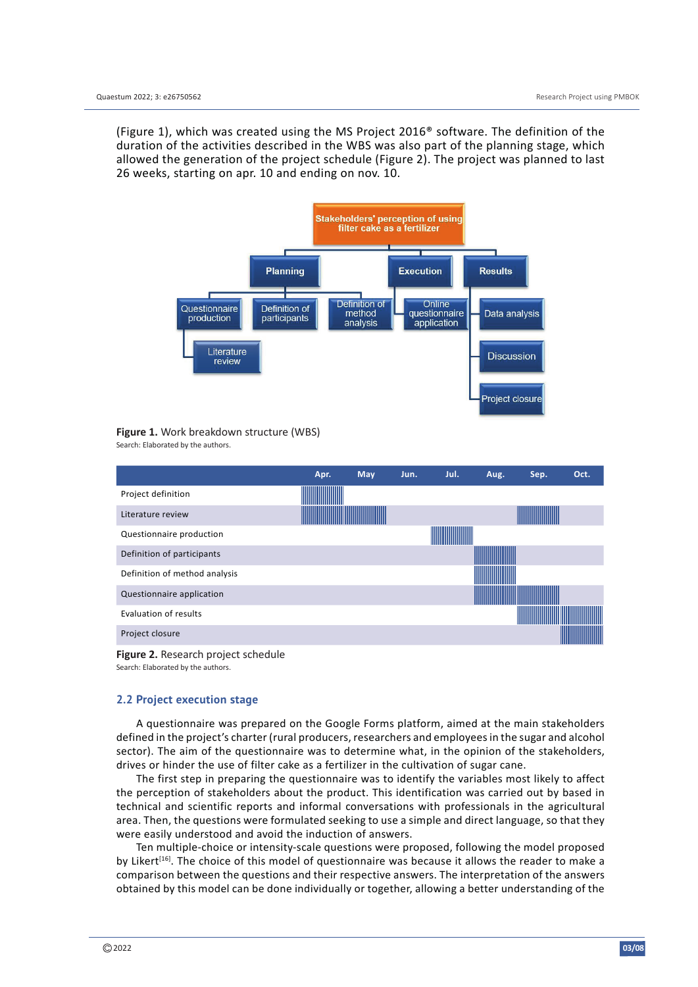(Figure 1), which was created using the MS Project 2016® software. The definition of the duration of the activities described in the WBS was also part of the planning stage, which allowed the generation of the project schedule (Figure 2). The project was planned to last 26 weeks, starting on apr. 10 and ending on nov. 10.



**Figure 1.** Work breakdown structure (WBS) Search: Elaborated by the authors.

|                               | Apr. | <b>May</b> | Jun. | Jul. | Aug. | Sep. | Oct. |
|-------------------------------|------|------------|------|------|------|------|------|
| Project definition            |      |            |      |      |      |      |      |
| Literature review             |      |            |      |      |      |      |      |
| Questionnaire production      |      |            |      |      |      |      |      |
| Definition of participants    |      |            |      |      |      |      |      |
| Definition of method analysis |      |            |      |      |      |      |      |
| Questionnaire application     |      |            |      |      |      |      |      |
| Evaluation of results         |      |            |      |      |      |      |      |
| Project closure               |      |            |      |      |      |      |      |

**Figure 2.** Research project schedule Search: Elaborated by the authors.

## **2.2 Project execution stage**

A questionnaire was prepared on the Google Forms platform, aimed at the main stakeholders defined in the project's charter (rural producers, researchers and employees in the sugar and alcohol sector). The aim of the questionnaire was to determine what, in the opinion of the stakeholders, drives or hinder the use of filter cake as a fertilizer in the cultivation of sugar cane.

The first step in preparing the questionnaire was to identify the variables most likely to affect the perception of stakeholders about the product. This identification was carried out by based in technical and scientific reports and informal conversations with professionals in the agricultural area. Then, the questions were formulated seeking to use a simple and direct language, so that they were easily understood and avoid the induction of answers.

Ten multiple-choice or intensity-scale questions were proposed, following the model proposed by Likert<sup>[16]</sup>. The choice of this model of questionnaire was because it allows the reader to make a comparison between the questions and their respective answers. The interpretation of the answers obtained by this model can be done individually or together, allowing a better understanding of the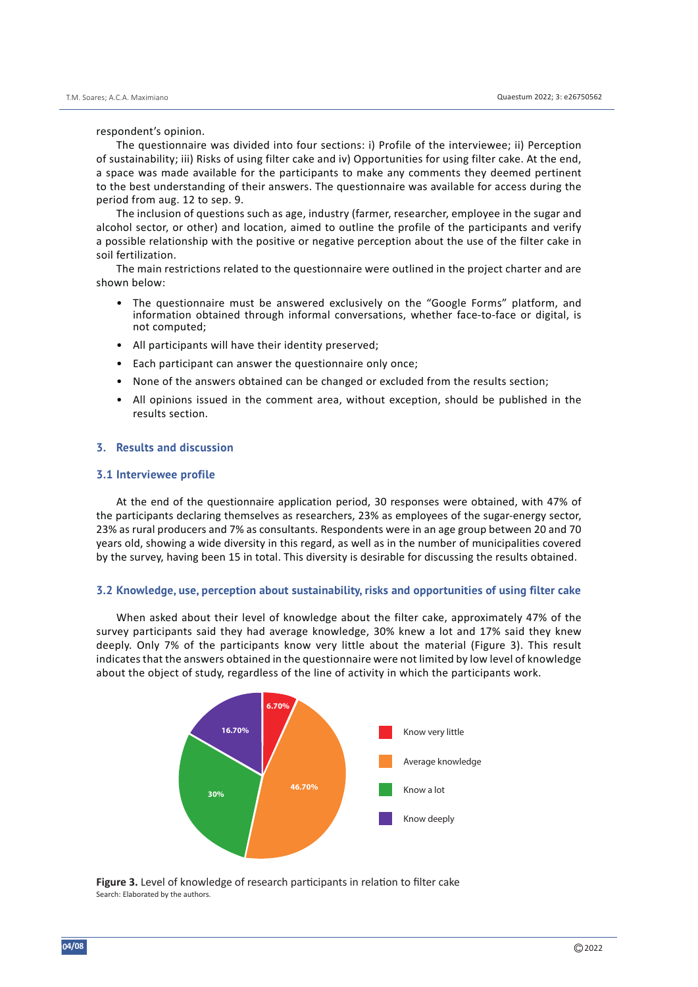respondent's opinion.

The questionnaire was divided into four sections: i) Profile of the interviewee; ii) Perception of sustainability; iii) Risks of using filter cake and iv) Opportunities for using filter cake. At the end, a space was made available for the participants to make any comments they deemed pertinent to the best understanding of their answers. The questionnaire was available for access during the period from aug. 12 to sep. 9.

The inclusion of questions such as age, industry (farmer, researcher, employee in the sugar and alcohol sector, or other) and location, aimed to outline the profile of the participants and verify a possible relationship with the positive or negative perception about the use of the filter cake in soil fertilization.

The main restrictions related to the questionnaire were outlined in the project charter and are shown below:

- The questionnaire must be answered exclusively on the "Google Forms" platform, and information obtained through informal conversations, whether face-to-face or digital, is not computed;
- All participants will have their identity preserved;
- Each participant can answer the questionnaire only once;
- None of the answers obtained can be changed or excluded from the results section;
- All opinions issued in the comment area, without exception, should be published in the results section.

# **3. Results and discussion**

#### **3.1 Interviewee profile**

At the end of the questionnaire application period, 30 responses were obtained, with 47% of the participants declaring themselves as researchers, 23% as employees of the sugar-energy sector, 23% as rural producers and 7% as consultants. Respondents were in an age group between 20 and 70 years old, showing a wide diversity in this regard, as well as in the number of municipalities covered by the survey, having been 15 in total. This diversity is desirable for discussing the results obtained.

## **3.2 Knowledge, use, perception about sustainability, risks and opportunities of using filter cake**

When asked about their level of knowledge about the filter cake, approximately 47% of the survey participants said they had average knowledge, 30% knew a lot and 17% said they knew deeply. Only 7% of the participants know very little about the material (Figure 3). This result indicates that the answers obtained in the questionnaire were not limited by low level of knowledge about the object of study, regardless of the line of activity in which the participants work.



**Figure 3.** Level of knowledge of research participants in relation to filter cake Search: Elaborated by the authors.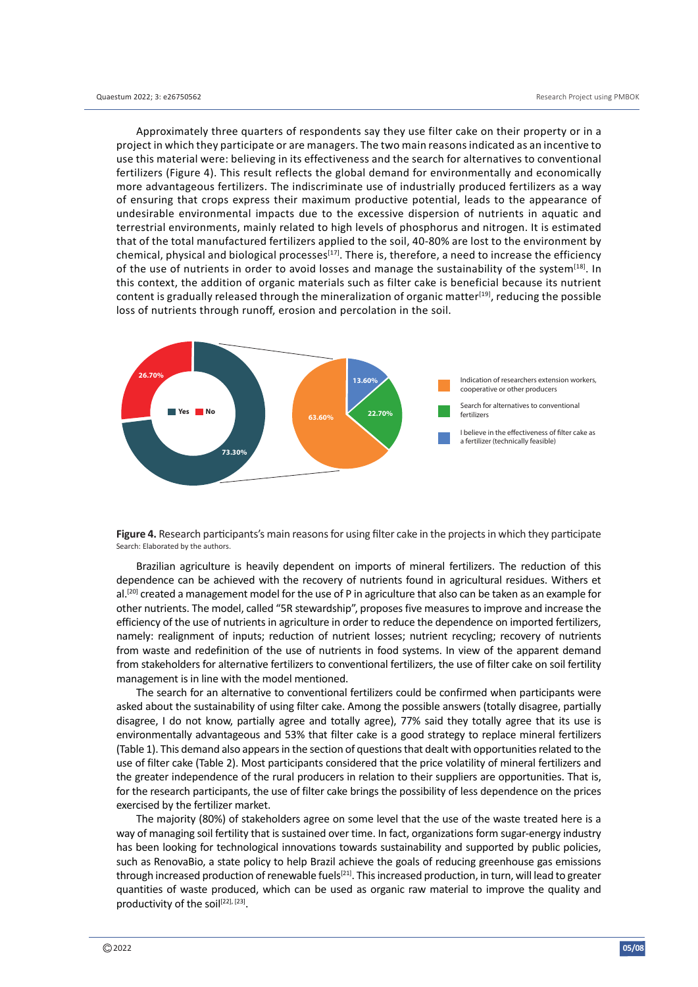Approximately three quarters of respondents say they use filter cake on their property or in a project in which they participate or are managers. The two main reasons indicated as an incentive to use this material were: believing in its effectiveness and the search for alternatives to conventional fertilizers (Figure 4). This result reflects the global demand for environmentally and economically more advantageous fertilizers. The indiscriminate use of industrially produced fertilizers as a way of ensuring that crops express their maximum productive potential, leads to the appearance of undesirable environmental impacts due to the excessive dispersion of nutrients in aquatic and terrestrial environments, mainly related to high levels of phosphorus and nitrogen. It is estimated that of the total manufactured fertilizers applied to the soil, 40-80% are lost to the environment by chemical, physical and biological processes<sup>[17]</sup>. There is, therefore, a need to increase the efficiency of the use of nutrients in order to avoid losses and manage the sustainability of the system<sup>[18]</sup>. In this context, the addition of organic materials such as filter cake is beneficial because its nutrient content is gradually released through the mineralization of organic matter<sup>[19]</sup>, reducing the possible loss of nutrients through runoff, erosion and percolation in the soil.



**Figure 4.** Research participants's main reasons for using filter cake in the projects in which they participate Search: Elaborated by the authors.

Brazilian agriculture is heavily dependent on imports of mineral fertilizers. The reduction of this dependence can be achieved with the recovery of nutrients found in agricultural residues. Withers et  $al.$ <sup>[20]</sup> created a management model for the use of P in agriculture that also can be taken as an example for other nutrients. The model, called "5R stewardship", proposes five measures to improve and increase the efficiency of the use of nutrients in agriculture in order to reduce the dependence on imported fertilizers, namely: realignment of inputs; reduction of nutrient losses; nutrient recycling; recovery of nutrients from waste and redefinition of the use of nutrients in food systems. In view of the apparent demand from stakeholders for alternative fertilizers to conventional fertilizers, the use of filter cake on soil fertility management is in line with the model mentioned.

The search for an alternative to conventional fertilizers could be confirmed when participants were asked about the sustainability of using filter cake. Among the possible answers (totally disagree, partially disagree, I do not know, partially agree and totally agree), 77% said they totally agree that its use is environmentally advantageous and 53% that filter cake is a good strategy to replace mineral fertilizers (Table 1). This demand also appears in the section of questions that dealt with opportunities related to the use of filter cake (Table 2). Most participants considered that the price volatility of mineral fertilizers and the greater independence of the rural producers in relation to their suppliers are opportunities. That is, for the research participants, the use of filter cake brings the possibility of less dependence on the prices exercised by the fertilizer market.

The majority (80%) of stakeholders agree on some level that the use of the waste treated here is a way of managing soil fertility that is sustained over time. In fact, organizations form sugar-energy industry has been looking for technological innovations towards sustainability and supported by public policies, such as RenovaBio, a state policy to help Brazil achieve the goals of reducing greenhouse gas emissions through increased production of renewable fuels<sup>[21]</sup>. This increased production, in turn, will lead to greater quantities of waste produced, which can be used as organic raw material to improve the quality and productivity of the soil<sup>[22], [23]</sup>.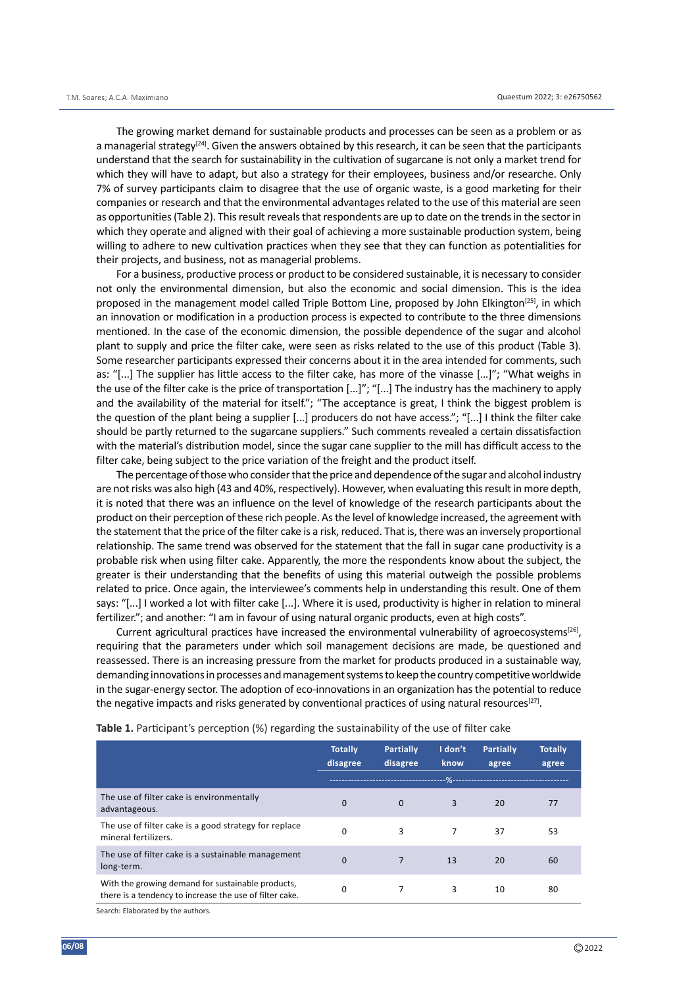The growing market demand for sustainable products and processes can be seen as a problem or as a managerial strategy<sup>[24]</sup>. Given the answers obtained by this research, it can be seen that the participants understand that the search for sustainability in the cultivation of sugarcane is not only a market trend for which they will have to adapt, but also a strategy for their employees, business and/or researche. Only 7% of survey participants claim to disagree that the use of organic waste, is a good marketing for their companies or research and that the environmental advantages related to the use of this material are seen as opportunities (Table 2). This result reveals that respondents are up to date on the trends in the sector in which they operate and aligned with their goal of achieving a more sustainable production system, being willing to adhere to new cultivation practices when they see that they can function as potentialities for their projects, and business, not as managerial problems.

For a business, productive process or product to be considered sustainable, it is necessary to consider not only the environmental dimension, but also the economic and social dimension. This is the idea proposed in the management model called Triple Bottom Line, proposed by John Elkington<sup>[25]</sup>, in which an innovation or modification in a production process is expected to contribute to the three dimensions mentioned. In the case of the economic dimension, the possible dependence of the sugar and alcohol plant to supply and price the filter cake, were seen as risks related to the use of this product (Table 3). Some researcher participants expressed their concerns about it in the area intended for comments, such as: "[...] The supplier has little access to the filter cake, has more of the vinasse […]"; "What weighs in the use of the filter cake is the price of transportation [...]"; "[...] The industry has the machinery to apply and the availability of the material for itself."; "The acceptance is great, I think the biggest problem is the question of the plant being a supplier [...] producers do not have access."; "[...] I think the filter cake should be partly returned to the sugarcane suppliers." Such comments revealed a certain dissatisfaction with the material's distribution model, since the sugar cane supplier to the mill has difficult access to the filter cake, being subject to the price variation of the freight and the product itself.

The percentage of those who consider that the price and dependence of the sugar and alcohol industry are not risks was also high (43 and 40%, respectively). However, when evaluating this result in more depth, it is noted that there was an influence on the level of knowledge of the research participants about the product on their perception of these rich people. As the level of knowledge increased, the agreement with the statement that the price of the filter cake is a risk, reduced. That is, there was an inversely proportional relationship. The same trend was observed for the statement that the fall in sugar cane productivity is a probable risk when using filter cake. Apparently, the more the respondents know about the subject, the greater is their understanding that the benefits of using this material outweigh the possible problems related to price. Once again, the interviewee's comments help in understanding this result. One of them says: "[...] I worked a lot with filter cake [...]. Where it is used, productivity is higher in relation to mineral fertilizer."; and another: "I am in favour of using natural organic products, even at high costs".

Current agricultural practices have increased the environmental vulnerability of agroecosystems<sup>[26]</sup>, requiring that the parameters under which soil management decisions are made, be questioned and reassessed. There is an increasing pressure from the market for products produced in a sustainable way, demanding innovations in processes and management systems to keep the country competitive worldwide in the sugar-energy sector. The adoption of eco-innovations in an organization has the potential to reduce the negative impacts and risks generated by conventional practices of using natural resources<sup>[27]</sup>.

|                                                                                                              | <b>Totally</b> | <b>Partially</b> | I don't | <b>Partially</b> | <b>Totally</b> |
|--------------------------------------------------------------------------------------------------------------|----------------|------------------|---------|------------------|----------------|
|                                                                                                              | disagree       | disagree         | know    | agree            | agree          |
|                                                                                                              |                |                  | $\%$    |                  |                |
| The use of filter cake is environmentally<br>advantageous.                                                   | 0              | $\Omega$         | 3       | 20               | 77             |
| The use of filter cake is a good strategy for replace<br>mineral fertilizers.                                | 0              | 3                |         | 37               | 53             |
| The use of filter cake is a sustainable management<br>long-term.                                             | $\Omega$       | $\overline{7}$   | 13      | 20               | 60             |
| With the growing demand for sustainable products,<br>there is a tendency to increase the use of filter cake. | 0              | 7                | 3       | 10               | 80             |

**Table 1.** Participant's perception (%) regarding the sustainability of the use of filter cake

Search: Elaborated by the authors.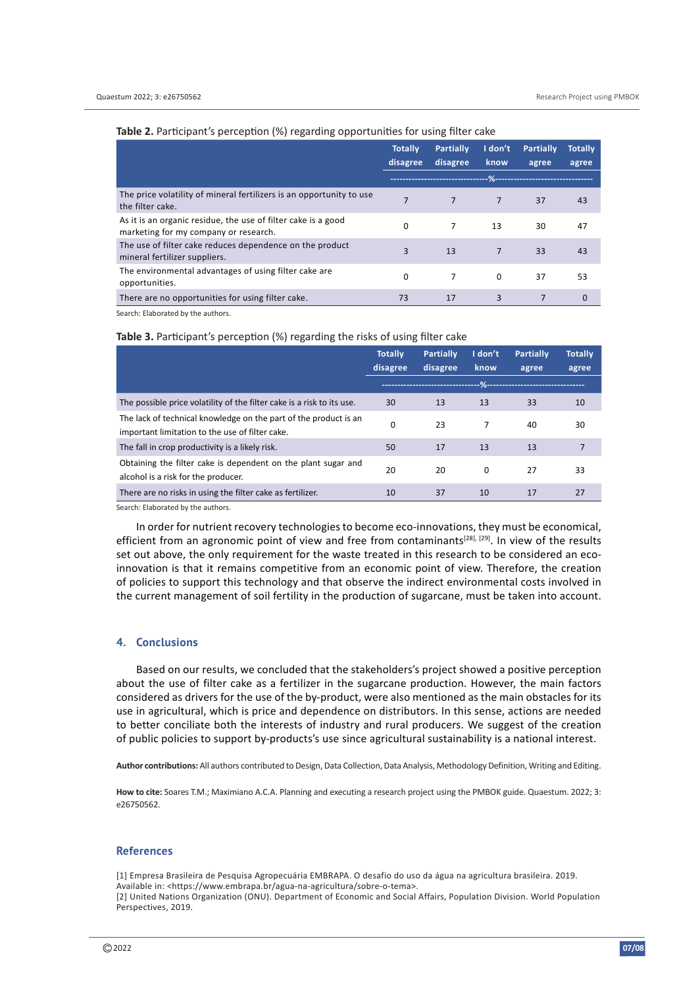|                                                                                                        | <b>Totally</b><br>disagree | <b>Partially</b><br>disagree       | I don't<br>know | <b>Partially</b><br>agree | <b>Totally</b><br>agree |
|--------------------------------------------------------------------------------------------------------|----------------------------|------------------------------------|-----------------|---------------------------|-------------------------|
|                                                                                                        |                            | ---------------------------------- |                 | .‰---------------------   |                         |
| The price volatility of mineral fertilizers is an opportunity to use<br>the filter cake.               |                            | $\overline{7}$                     | $\overline{7}$  | 37                        | 43                      |
| As it is an organic residue, the use of filter cake is a good<br>marketing for my company or research. | <sup>0</sup>               | 7                                  | 13              | 30                        | 47                      |
| The use of filter cake reduces dependence on the product<br>mineral fertilizer suppliers.              | 3                          | 13                                 | $\overline{7}$  | 33                        | 43                      |
| The environmental advantages of using filter cake are<br>opportunities.                                | <sup>0</sup>               | 7                                  | $\Omega$        | 37                        | 53                      |
| There are no opportunities for using filter cake.                                                      | 73                         | 17                                 | 3               |                           | 0                       |

#### **Table 2.** Participant's perception (%) regarding opportunities for using filter cake

Search: Elaborated by the authors.

#### **Table 3.** Participant's perception (%) regarding the risks of using filter cake

|                                                                                                                     | <b>Totally</b><br>disagree | <b>Partially</b><br>disagree   | I don't<br>know | <b>Partially</b><br>agree  | <b>Totally</b><br>agree |
|---------------------------------------------------------------------------------------------------------------------|----------------------------|--------------------------------|-----------------|----------------------------|-------------------------|
|                                                                                                                     |                            | ------------------------------ |                 | --%----------------------- |                         |
| The possible price volatility of the filter cake is a risk to its use.                                              | 30                         | 13                             | 13              | 33                         | 10                      |
| The lack of technical knowledge on the part of the product is an<br>important limitation to the use of filter cake. | 0                          | 23                             | 7               | 40                         | 30                      |
| The fall in crop productivity is a likely risk.                                                                     | 50                         | 17                             | 13              | 13                         | $\overline{7}$          |
| Obtaining the filter cake is dependent on the plant sugar and<br>alcohol is a risk for the producer.                | 20                         | 20                             | $\Omega$        | 27                         | 33                      |
| There are no risks in using the filter cake as fertilizer.                                                          | 10                         | 37                             | 10              | 17                         | 27                      |

Search: Elaborated by the authors.

In order for nutrient recovery technologies to become eco-innovations, they must be economical, efficient from an agronomic point of view and free from contaminants<sup>[28], [29]</sup>. In view of the results set out above, the only requirement for the waste treated in this research to be considered an ecoinnovation is that it remains competitive from an economic point of view. Therefore, the creation of policies to support this technology and that observe the indirect environmental costs involved in the current management of soil fertility in the production of sugarcane, must be taken into account.

### **4. Conclusions**

Based on our results, we concluded that the stakeholders's project showed a positive perception about the use of filter cake as a fertilizer in the sugarcane production. However, the main factors considered as drivers for the use of the by-product, were also mentioned as the main obstacles for its use in agricultural, which is price and dependence on distributors. In this sense, actions are needed to better conciliate both the interests of industry and rural producers. We suggest of the creation of public policies to support by-products's use since agricultural sustainability is a national interest.

**Author contributions:** All authors contributed to Design, Data Collection, Data Analysis, Methodology Definition, Writing and Editing.

**How to cite:** Soares T.M.; Maximiano A.C.A. Planning and executing a research project using the PMBOK guide. Quaestum. 2022; 3: e26750562.

#### **References**

[1] Empresa Brasileira de Pesquisa Agropecuária EMBRAPA. O desafio do uso da água na agricultura brasileira. 2019.

Available in: <https://www.embrapa.br/agua-na-agricultura/sobre-o-tema>.

[2] United Nations Organization (ONU). Department of Economic and Social Affairs, Population Division. World Population Perspectives, 2019.